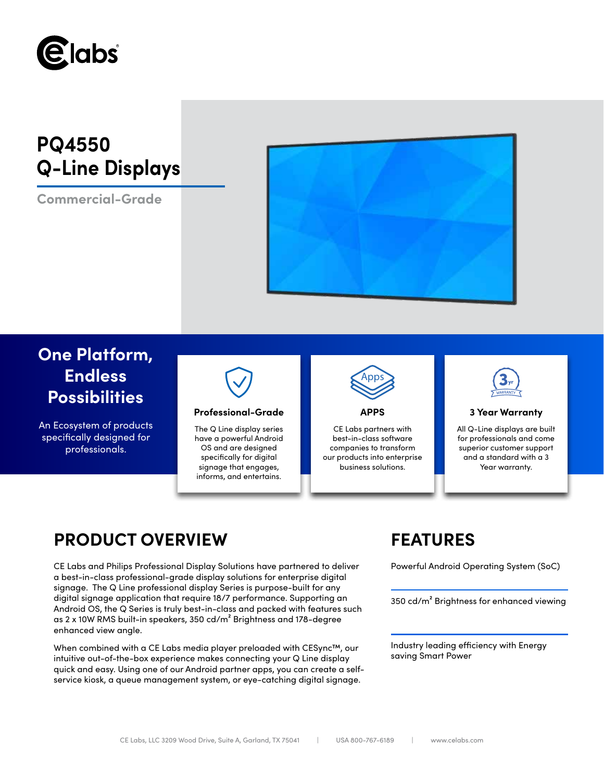

# **PQ4550 Q-Line Displays**

**Commercial-Grade**



## **One Platform, Endless Possibilities**

An Ecosystem of products specifically designed for professionals.



### **Professional-Grade APPS 3 Year Warranty**

The Q Line display series have a powerful Android OS and are designed specifically for digital signage that engages, informs, and entertains.



CE Labs partners with best-in-class software companies to transform our products into enterprise business solutions.



All Q-Line displays are built for professionals and come superior customer support and a standard with a 3 Year warranty.

## **PRODUCT OVERVIEW FEATURES**

CE Labs and Philips Professional Display Solutions have partnered to deliver Powerful Android Operating System (SoC) a best-in-class professional-grade display solutions for enterprise digital signage. The Q Line professional display Series is purpose-built for any digital signage application that require 18/7 performance. Supporting an Android OS, the Q Series is truly best-in-class and packed with features such as 2 x 10W RMS built-in speakers, 350 cd/m² Brightness and 178-degree enhanced view angle.

When combined with a CE Labs media player preloaded with CESync™, our intuitive out-of-the-box experience makes connecting your Q Line display quick and easy. Using one of our Android partner apps, you can create a selfservice kiosk, a queue management system, or eye-catching digital signage.

350 cd/m² Brightness for enhanced viewing

Industry leading efficiency with Energy saving Smart Power